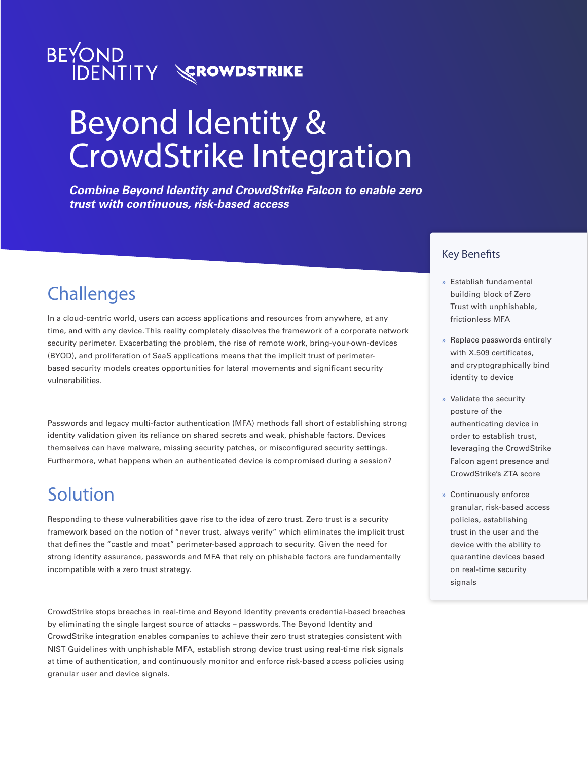

# Beyond Identity & CrowdStrike Integration

*Combine Beyond Identity and CrowdStrike Falcon to enable zero trust with continuous, risk-based access*

# **Challenges**

In a cloud-centric world, users can access applications and resources from anywhere, at any time, and with any device. This reality completely dissolves the framework of a corporate network security perimeter. Exacerbating the problem, the rise of remote work, bring-your-own-devices (BYOD), and proliferation of SaaS applications means that the implicit trust of perimeterbased security models creates opportunities for lateral movements and significant security vulnerabilities.

Passwords and legacy multi-factor authentication (MFA) methods fall short of establishing strong identity validation given its reliance on shared secrets and weak, phishable factors. Devices themselves can have malware, missing security patches, or misconfigured security settings. Furthermore, what happens when an authenticated device is compromised during a session?

# Solution

Responding to these vulnerabilities gave rise to the idea of zero trust. Zero trust is a security framework based on the notion of "never trust, always verify" which eliminates the implicit trust that defines the "castle and moat" perimeter-based approach to security. Given the need for strong identity assurance, passwords and MFA that rely on phishable factors are fundamentally incompatible with a zero trust strategy.

CrowdStrike stops breaches in real-time and Beyond Identity prevents credential-based breaches by eliminating the single largest source of attacks – passwords. The Beyond Identity and CrowdStrike integration enables companies to achieve their zero trust strategies consistent with NIST Guidelines with unphishable MFA, establish strong device trust using real-time risk signals at time of authentication, and continuously monitor and enforce risk-based access policies using granular user and device signals.

### Key Benefits

- » Establish fundamental building block of Zero Trust with unphishable, frictionless MFA
- » Replace passwords entirely with X.509 certificates, and cryptographically bind identity to device
- » Validate the security posture of the authenticating device in order to establish trust, leveraging the CrowdStrike Falcon agent presence and CrowdStrike's ZTA score
- » Continuously enforce granular, risk-based access policies, establishing trust in the user and the device with the ability to quarantine devices based on real-time security signals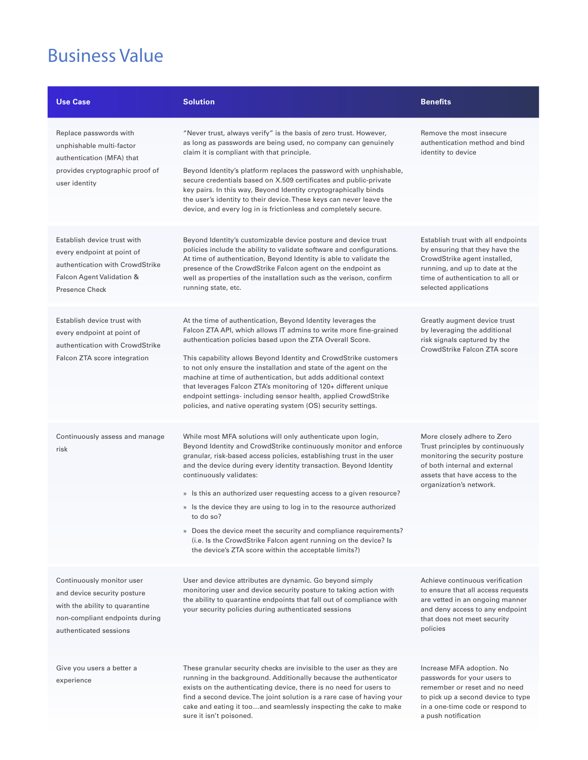# Business Value

| <b>Use Case</b>                                                                                                                                        | <b>Solution</b>                                                                                                                                                                                                                                                                                                                                                                                                                                                                                                                                                                                                                                                    | <b>Benefits</b>                                                                                                                                                                                     |
|--------------------------------------------------------------------------------------------------------------------------------------------------------|--------------------------------------------------------------------------------------------------------------------------------------------------------------------------------------------------------------------------------------------------------------------------------------------------------------------------------------------------------------------------------------------------------------------------------------------------------------------------------------------------------------------------------------------------------------------------------------------------------------------------------------------------------------------|-----------------------------------------------------------------------------------------------------------------------------------------------------------------------------------------------------|
| Replace passwords with<br>unphishable multi-factor<br>authentication (MFA) that<br>provides cryptographic proof of<br>user identity                    | "Never trust, always verify" is the basis of zero trust. However,<br>as long as passwords are being used, no company can genuinely<br>claim it is compliant with that principle.<br>Beyond Identity's platform replaces the password with unphishable,<br>secure credentials based on X.509 certificates and public-private<br>key pairs. In this way, Beyond Identity cryptographically binds<br>the user's identity to their device. These keys can never leave the<br>device, and every log in is frictionless and completely secure.                                                                                                                           | Remove the most insecure<br>authentication method and bind<br>identity to device                                                                                                                    |
| Establish device trust with<br>every endpoint at point of<br>authentication with CrowdStrike<br>Falcon Agent Validation &<br><b>Presence Check</b>     | Beyond Identity's customizable device posture and device trust<br>policies include the ability to validate software and configurations.<br>At time of authentication, Beyond Identity is able to validate the<br>presence of the CrowdStrike Falcon agent on the endpoint as<br>well as properties of the installation such as the verison, confirm<br>running state, etc.                                                                                                                                                                                                                                                                                         | Establish trust with all endpoints<br>by ensuring that they have the<br>CrowdStrike agent installed,<br>running, and up to date at the<br>time of authentication to all or<br>selected applications |
| Establish device trust with<br>every endpoint at point of<br>authentication with CrowdStrike<br>Falcon ZTA score integration                           | At the time of authentication, Beyond Identity leverages the<br>Falcon ZTA API, which allows IT admins to write more fine-grained<br>authentication policies based upon the ZTA Overall Score.<br>This capability allows Beyond Identity and CrowdStrike customers<br>to not only ensure the installation and state of the agent on the<br>machine at time of authentication, but adds additional context<br>that leverages Falcon ZTA's monitoring of 120+ different unique<br>endpoint settings- including sensor health, applied CrowdStrike<br>policies, and native operating system (OS) security settings.                                                   | Greatly augment device trust<br>by leveraging the additional<br>risk signals captured by the<br>CrowdStrike Falcon ZTA score                                                                        |
| Continuously assess and manage<br>risk                                                                                                                 | While most MFA solutions will only authenticate upon login,<br>Beyond Identity and CrowdStrike continuously monitor and enforce<br>granular, risk-based access policies, establishing trust in the user<br>and the device during every identity transaction. Beyond Identity<br>continuously validates:<br>» Is this an authorized user requesting access to a given resource?<br>» Is the device they are using to log in to the resource authorized<br>to do so?<br>» Does the device meet the security and compliance requirements?<br>(i.e. Is the CrowdStrike Falcon agent running on the device? Is<br>the device's ZTA score within the acceptable limits?) | More closely adhere to Zero<br>Trust principles by continuously<br>monitoring the security posture<br>of both internal and external<br>assets that have access to the<br>organization's network.    |
| Continuously monitor user<br>and device security posture<br>with the ability to quarantine<br>non-compliant endpoints during<br>authenticated sessions | User and device attributes are dynamic. Go beyond simply<br>monitoring user and device security posture to taking action with<br>the ability to quarantine endpoints that fall out of compliance with<br>your security policies during authenticated sessions                                                                                                                                                                                                                                                                                                                                                                                                      | Achieve continuous verification<br>to ensure that all access requests<br>are vetted in an ongoing manner<br>and deny access to any endpoint<br>that does not meet security<br>policies              |
| Give you users a better a<br>experience                                                                                                                | These granular security checks are invisible to the user as they are<br>running in the background. Additionally because the authenticator<br>exists on the authenticating device, there is no need for users to<br>find a second device. The joint solution is a rare case of having your<br>cake and eating it tooand seamlessly inspecting the cake to make<br>sure it isn't poisoned.                                                                                                                                                                                                                                                                           | Increase MFA adoption. No<br>passwords for your users to<br>remember or reset and no need<br>to pick up a second device to type<br>in a one-time code or respond to<br>a push notification          |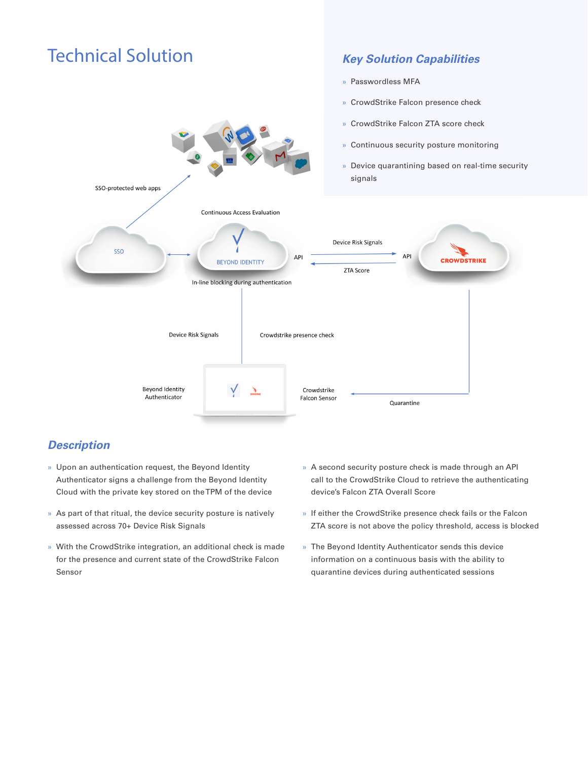

### *Description*

- » Upon an authentication request, the Beyond Identity Authenticator signs a challenge from the Beyond Identity Cloud with the private key stored on the TPM of the device
- » As part of that ritual, the device security posture is natively assessed across 70+ Device Risk Signals
- » With the CrowdStrike integration, an additional check is made for the presence and current state of the CrowdStrike Falcon Sensor
- » A second security posture check is made through an API call to the CrowdStrike Cloud to retrieve the authenticating device's Falcon ZTA Overall Score
- » If either the CrowdStrike presence check fails or the Falcon ZTA score is not above the policy threshold, access is blocked
- » The Beyond Identity Authenticator sends this device information on a continuous basis with the ability to quarantine devices during authenticated sessions